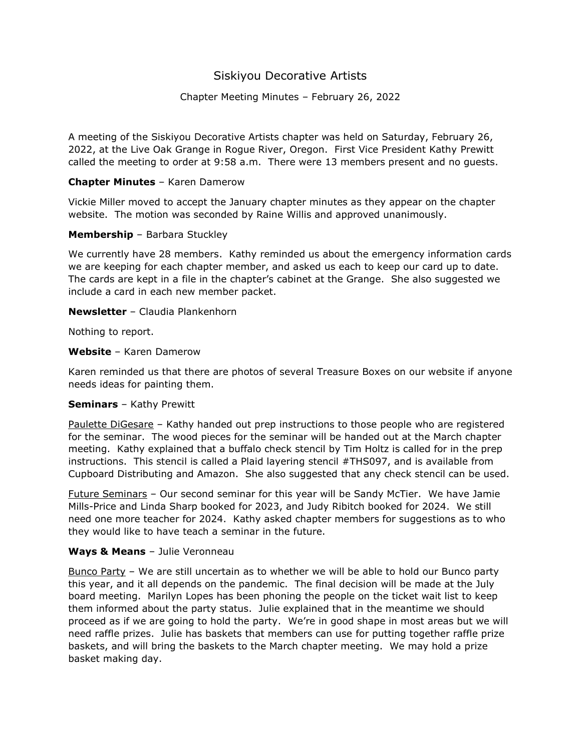# Siskiyou Decorative Artists

# Chapter Meeting Minutes – February 26, 2022

A meeting of the Siskiyou Decorative Artists chapter was held on Saturday, February 26, 2022, at the Live Oak Grange in Rogue River, Oregon. First Vice President Kathy Prewitt called the meeting to order at 9:58 a.m. There were 13 members present and no guests.

## **Chapter Minutes** – Karen Damerow

Vickie Miller moved to accept the January chapter minutes as they appear on the chapter website. The motion was seconded by Raine Willis and approved unanimously.

### **Membership** – Barbara Stuckley

We currently have 28 members. Kathy reminded us about the emergency information cards we are keeping for each chapter member, and asked us each to keep our card up to date. The cards are kept in a file in the chapter's cabinet at the Grange. She also suggested we include a card in each new member packet.

### **Newsletter** – Claudia Plankenhorn

Nothing to report.

## **Website** – Karen Damerow

Karen reminded us that there are photos of several Treasure Boxes on our website if anyone needs ideas for painting them.

### **Seminars** – Kathy Prewitt

Paulette DiGesare – Kathy handed out prep instructions to those people who are registered for the seminar. The wood pieces for the seminar will be handed out at the March chapter meeting. Kathy explained that a buffalo check stencil by Tim Holtz is called for in the prep instructions. This stencil is called a Plaid layering stencil #THS097, and is available from Cupboard Distributing and Amazon. She also suggested that any check stencil can be used.

Future Seminars – Our second seminar for this year will be Sandy McTier. We have Jamie Mills-Price and Linda Sharp booked for 2023, and Judy Ribitch booked for 2024. We still need one more teacher for 2024. Kathy asked chapter members for suggestions as to who they would like to have teach a seminar in the future.

### **Ways & Means** – Julie Veronneau

Bunco Party – We are still uncertain as to whether we will be able to hold our Bunco party this year, and it all depends on the pandemic. The final decision will be made at the July board meeting. Marilyn Lopes has been phoning the people on the ticket wait list to keep them informed about the party status. Julie explained that in the meantime we should proceed as if we are going to hold the party. We're in good shape in most areas but we will need raffle prizes. Julie has baskets that members can use for putting together raffle prize baskets, and will bring the baskets to the March chapter meeting. We may hold a prize basket making day.